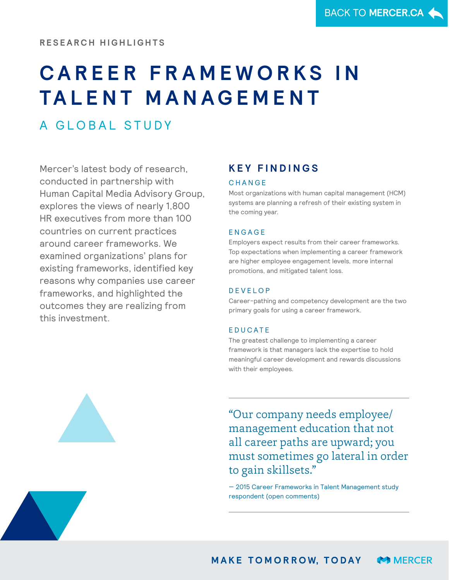# **C A R E E R F R A M E W O R K S I N TA L E N T M A N A G E M E N T**

A GLOBAL STUDY

Mercer's latest body of research, conducted in partnership with Human Capital Media Advisory Group, explores the views of nearly 1,800 HR executives from more than 100 countries on current practices around career frameworks. We examined organizations' plans for existing frameworks, identified key reasons why companies use career frameworks, and highlighted the outcomes they are realizing from this investment.

# **K E Y F I N D I N G S**

#### **CHANGE**

Most organizations with human capital management (HCM) systems are planning a refresh of their existing system in the coming year.

# E N G A G E

Employers expect results from their career frameworks. Top expectations when implementing a career framework are higher employee engagement levels, more internal promotions, and mitigated talent loss.

# D E V E L O P

Career-pathing and competency development are the two primary goals for using a career framework.

# **EDUCATE**

The greatest challenge to implementing a career framework is that managers lack the expertise to hold meaningful career development and rewards discussions with their employees.

"Our company needs employee/ management education that not all career paths are upward; you must sometimes go lateral in order to gain skillsets."

— 2015 Career Frameworks in Talent Management study respondent (open comments)